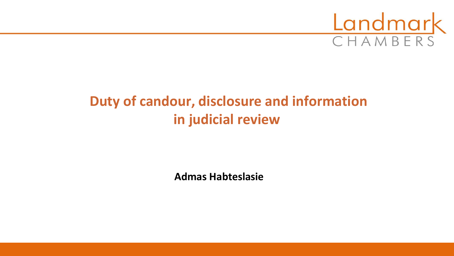

# **Duty of candour, disclosure and information in judicial review**

**Admas Habteslasie**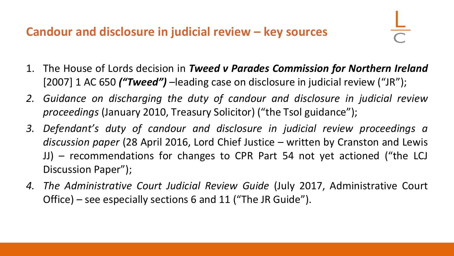- 1. The House of Lords decision in *Tweed v Parades Commission for Northern Ireland* [2007] 1 AC 650 *("Tweed") –*leading case on disclosure in judicial review ("JR");
- *2. Guidance on discharging the duty of candour and disclosure in judicial review proceedings* (January 2010, Treasury Solicitor) ("the Tsol guidance");
- *3. Defendant's duty of candour and disclosure in judicial review proceedings a discussion paper* (28 April 2016, Lord Chief Justice – written by Cranston and Lewis JJ) – recommendations for changes to CPR Part 54 not yet actioned ("the LCJ Discussion Paper");
- *4. The Administrative Court Judicial Review Guide* (July 2017, Administrative Court Office) – see especially sections 6 and 11 ("The JR Guide").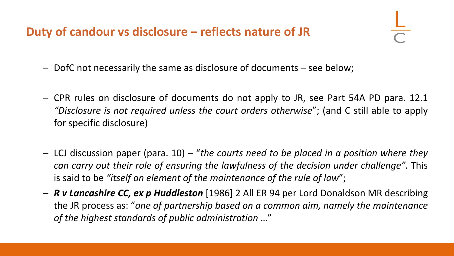### **Duty of candour vs disclosure – reflects nature of JR**

- DofC not necessarily the same as disclosure of documents see below;
- CPR rules on disclosure of documents do not apply to JR, see Part 54A PD para. 12.1 *"Disclosure is not required unless the court orders otherwise*"; (and C still able to apply for specific disclosure)
- LCJ discussion paper (para. 10) "*the courts need to be placed in a position where they can carry out their role of ensuring the lawfulness of the decision under challenge".* This is said to be *"itself an element of the maintenance of the rule of law*";
- *R v Lancashire CC, ex p Huddleston* [1986] 2 All ER 94 per Lord Donaldson MR describing the JR process as: "*one of partnership based on a common aim, namely the maintenance of the highest standards of public administration* …"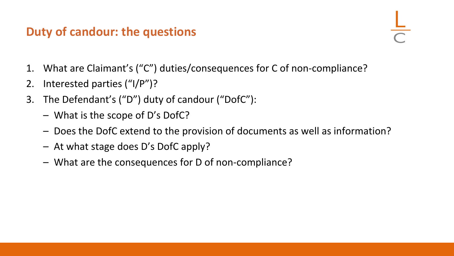### **Duty of candour: the questions**

- 1. What are Claimant's ("C") duties/consequences for C of non-compliance?
- 2. Interested parties ("I/P")?
- 3. The Defendant's ("D") duty of candour ("DofC"):
	- What is the scope of D's DofC?
	- Does the DofC extend to the provision of documents as well as information?
	- At what stage does D's DofC apply?
	- What are the consequences for D of non-compliance?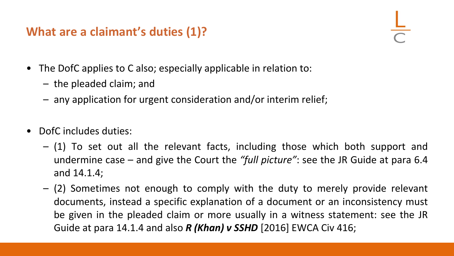## **What are a claimant's duties (1)?**

- The DofC applies to C also; especially applicable in relation to:
	- the pleaded claim; and
	- any application for urgent consideration and/or interim relief;
- DofC includes duties:
	- (1) To set out all the relevant facts, including those which both support and undermine case – and give the Court the *"full picture"*: see the JR Guide at para 6.4 and 14.1.4;
	- (2) Sometimes not enough to comply with the duty to merely provide relevant documents, instead a specific explanation of a document or an inconsistency must be given in the pleaded claim or more usually in a witness statement: see the JR Guide at para 14.1.4 and also *R (Khan) v SSHD* [2016] EWCA Civ 416;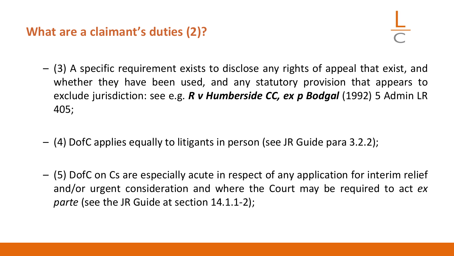### **What are a claimant's duties (2)?**

- (3) A specific requirement exists to disclose any rights of appeal that exist, and whether they have been used, and any statutory provision that appears to exclude jurisdiction: see e.g. *R v Humberside CC, ex p Bodgal* (1992) 5 Admin LR 405;
- (4) DofC applies equally to litigants in person (see JR Guide para 3.2.2);
- (5) DofC on Cs are especially acute in respect of any application for interim relief and/or urgent consideration and where the Court may be required to act *ex parte* (see the JR Guide at section 14.1.1-2);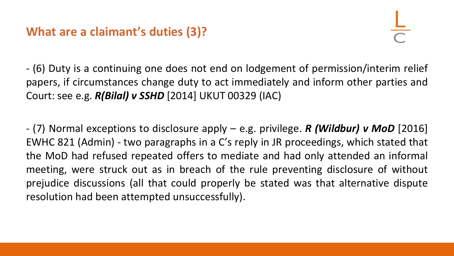### **What are a claimant's duties (3)?**

- (6) Duty is a continuing one does not end on lodgement of permission/interim relief papers, if circumstances change duty to act immediately and inform other parties and Court: see e.g. *R(Bilal) v SSHD* [2014] UKUT 00329 (IAC)

- (7) Normal exceptions to disclosure apply – e.g. privilege. *R (Wildbur) v MoD* [2016] EWHC 821 (Admin) - two paragraphs in a C's reply in JR proceedings, which stated that the MoD had refused repeated offers to mediate and had only attended an informal meeting, were struck out as in breach of the rule preventing disclosure of without prejudice discussions (all that could properly be stated was that alternative dispute resolution had been attempted unsuccessfully).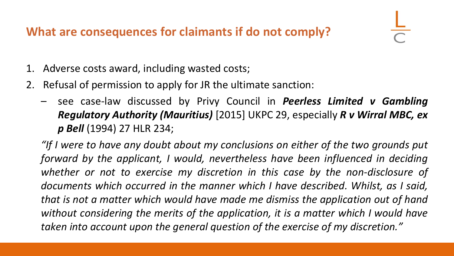## **What are consequences for claimants if do not comply?**

- 1. Adverse costs award, including wasted costs;
- 2. Refusal of permission to apply for JR the ultimate sanction:
	- see case-law discussed by Privy Council in *Peerless Limited v Gambling Regulatory Authority (Mauritius)* [2015] UKPC 29, especially *R v Wirral MBC, ex p Bell* (1994) 27 HLR 234;

*"If I were to have any doubt about my conclusions on either of the two grounds put forward by the applicant, I would, nevertheless have been influenced in deciding whether or not to exercise my discretion in this case by the non-disclosure of documents which occurred in the manner which I have described. Whilst, as I said, that is not a matter which would have made me dismiss the application out of hand without considering the merits of the application, it is a matter which I would have taken into account upon the general question of the exercise of my discretion."*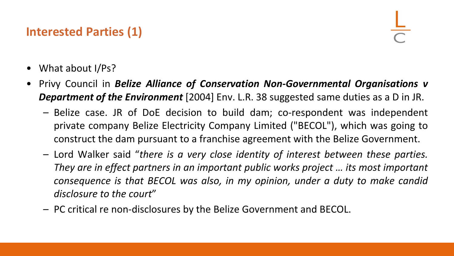## **Interested Parties (1)**

- What about I/Ps?
- Privy Council in *Belize Alliance of Conservation Non-Governmental Organisations v Department of the Environment* [2004] Env. L.R. 38 suggested same duties as a D in JR.
	- Belize case. JR of DoE decision to build dam; co-respondent was independent private company Belize Electricity Company Limited ("BECOL"), which was going to construct the dam pursuant to a franchise agreement with the Belize Government.
	- Lord Walker said "*there is a very close identity of interest between these parties. They are in effect partners in an important public works project … its most important consequence is that BECOL was also, in my opinion, under a duty to make candid disclosure to the court*"
	- PC critical re non-disclosures by the Belize Government and BECOL.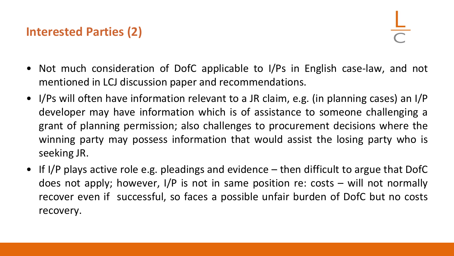## **Interested Parties (2)**

- Not much consideration of DofC applicable to I/Ps in English case-law, and not mentioned in LCJ discussion paper and recommendations.
- I/Ps will often have information relevant to a JR claim, e.g. (in planning cases) an I/P developer may have information which is of assistance to someone challenging a grant of planning permission; also challenges to procurement decisions where the winning party may possess information that would assist the losing party who is seeking JR.
- If I/P plays active role e.g. pleadings and evidence then difficult to argue that DofC does not apply; however, I/P is not in same position re: costs – will not normally recover even if successful, so faces a possible unfair burden of DofC but no costs recovery.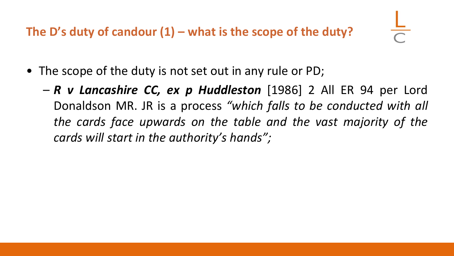**The D's duty of candour (1) – what is the scope of the duty?**

- The scope of the duty is not set out in any rule or PD;
	- *R v Lancashire CC, ex p Huddleston* [1986] 2 All ER 94 per Lord Donaldson MR. JR is a process *"which falls to be conducted with all the cards face upwards on the table and the vast majority of the cards will start in the authority's hands";*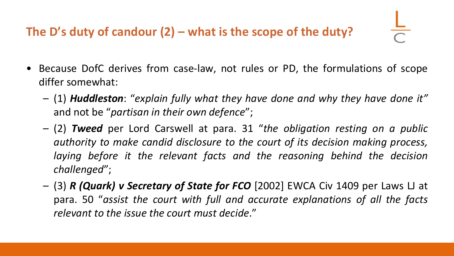## **The D's duty of candour (2) – what is the scope of the duty?**

- Because DofC derives from case-law, not rules or PD, the formulations of scope differ somewhat:
	- (1) *Huddleston*: "*explain fully what they have done and why they have done it"* and not be "*partisan in their own defence*";
	- (2) *Tweed* per Lord Carswell at para. 31 "*the obligation resting on a public authority to make candid disclosure to the court of its decision making process, laying before it the relevant facts and the reasoning behind the decision challenged*";
	- (3) *R (Quark) v Secretary of State for FCO* [2002] EWCA Civ 1409 per Laws LJ at para. 50 "*assist the court with full and accurate explanations of all the facts relevant to the issue the court must decide*."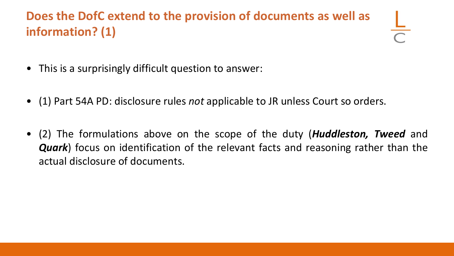## **Does the DofC extend to the provision of documents as well as information? (1)**

- This is a surprisingly difficult question to answer:
- (1) Part 54A PD: disclosure rules *not* applicable to JR unless Court so orders.
- (2) The formulations above on the scope of the duty (*Huddleston, Tweed* and *Quark*) focus on identification of the relevant facts and reasoning rather than the actual disclosure of documents.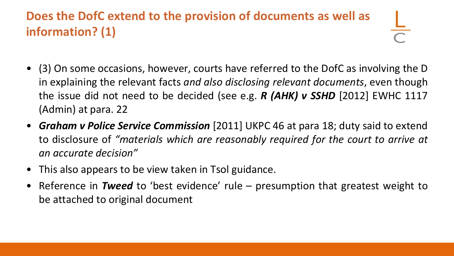## **Does the DofC extend to the provision of documents as well as information? (1)**

- (3) On some occasions, however, courts have referred to the DofC as involving the D in explaining the relevant facts *and also disclosing relevant documents*, even though the issue did not need to be decided (see e.g. *R (AHK) v SSHD* [2012] EWHC 1117 (Admin) at para. 22
- *Graham v Police Service Commission* [2011] UKPC 46 at para 18; duty said to extend to disclosure of *"materials which are reasonably required for the court to arrive at an accurate decision"*
- This also appears to be view taken in Tsol guidance.
- Reference in *Tweed* to 'best evidence' rule presumption that greatest weight to be attached to original document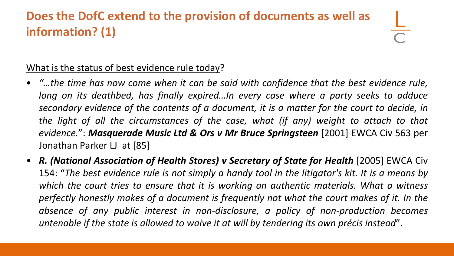## **Does the DofC extend to the provision of documents as well as information? (1)**

#### What is the status of best evidence rule today?

- *"…the time has now come when it can be said with confidence that the best evidence rule, long on its deathbed, has finally expired…In every case where a party seeks to adduce secondary evidence of the contents of a document, it is a matter for the court to decide, in the light of all the circumstances of the case, what (if any) weight to attach to that evidence.*": *Masquerade Music Ltd & Ors v Mr Bruce Springsteen* [2001] EWCA Civ 563 per Jonathan Parker LJ at [85]
- *R. (National Association of Health Stores) v Secretary of State for Health* [2005] EWCA Civ 154: "The best evidence rule is not simply a handy tool in the litigator's kit. It is a means by *which the court tries to ensure that it is working on authentic materials. What a witness perfectly honestly makes of a document is frequently not what the court makes of it. In the absence of any public interest in non-disclosure, a policy of non-production becomes untenable if the state is allowed to waive it at will by tendering its own précis instead*".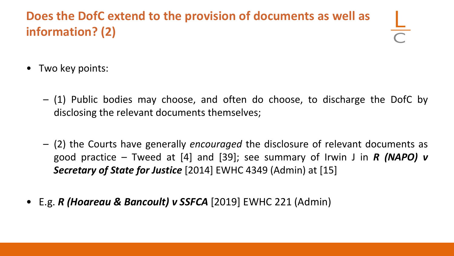## **Does the DofC extend to the provision of documents as well as information? (2)**

- Two key points:
	- (1) Public bodies may choose, and often do choose, to discharge the DofC by disclosing the relevant documents themselves;
	- (2) the Courts have generally *encouraged* the disclosure of relevant documents as good practice – Tweed at [4] and [39]; see summary of Irwin J in *R (NAPO) v Secretary of State for Justice* [2014] EWHC 4349 (Admin) at [15]
- E.g. *R (Hoareau & Bancoult) v SSFCA* [2019] EWHC 221 (Admin)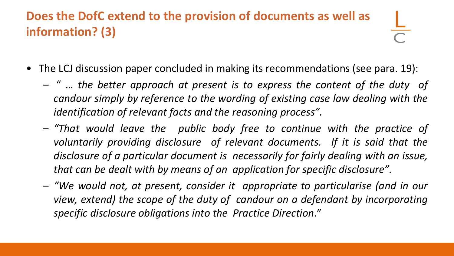## **Does the DofC extend to the provision of documents as well as information? (3)**

- The LCJ discussion paper concluded in making its recommendations (see para. 19):
	- " … *the better approach at present is to express the content of the duty of candour simply by reference to the wording of existing case law dealing with the identification of relevant facts and the reasoning process".*
	- *"That would leave the public body free to continue with the practice of voluntarily providing disclosure of relevant documents. If it is said that the disclosure of a particular document is necessarily for fairly dealing with an issue, that can be dealt with by means of an application for specific disclosure".*
	- *"We would not, at present, consider it appropriate to particularise (and in our view, extend) the scope of the duty of candour on a defendant by incorporating specific disclosure obligations into the Practice Direction*."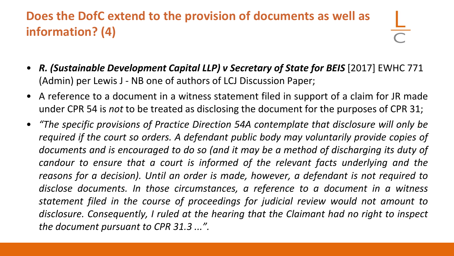## **Does the DofC extend to the provision of documents as well as information? (4)**

- *R. (Sustainable Development Capital LLP) v Secretary of State for BEIS* [2017] EWHC 771 (Admin) per Lewis J - NB one of authors of LCJ Discussion Paper;
- A reference to a document in a witness statement filed in support of a claim for JR made under CPR 54 is *not* to be treated as disclosing the document for the purposes of CPR 31;
- *"The specific provisions of Practice Direction 54A contemplate that disclosure will only be required if the court so orders. A defendant public body may voluntarily provide copies of documents and is encouraged to do so (and it may be a method of discharging its duty of candour to ensure that a court is informed of the relevant facts underlying and the reasons for a decision). Until an order is made, however, a defendant is not required to disclose documents. In those circumstances, a reference to a document in a witness statement filed in the course of proceedings for judicial review would not amount to disclosure. Consequently, I ruled at the hearing that the Claimant had no right to inspect the document pursuant to CPR 31.3 ...".*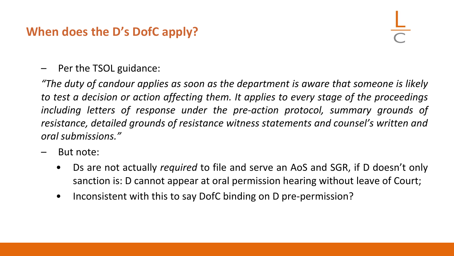## **When does the D's DofC apply?**

– Per the TSOL guidance:

*"The duty of candour applies as soon as the department is aware that someone is likely to test a decision or action affecting them. It applies to every stage of the proceedings including letters of response under the pre-action protocol, summary grounds of resistance, detailed grounds of resistance witness statements and counsel's written and oral submissions."*

- But note:
	- Ds are not actually *required* to file and serve an AoS and SGR, if D doesn't only sanction is: D cannot appear at oral permission hearing without leave of Court;
	- Inconsistent with this to say DofC binding on D pre-permission?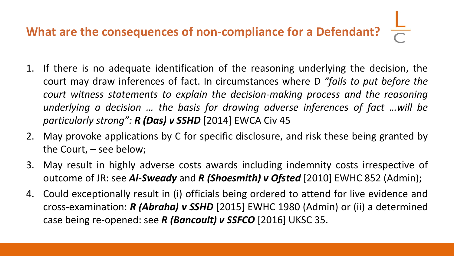# **What are the consequences of non-compliance for a Defendant?**

- 1. If there is no adequate identification of the reasoning underlying the decision, the court may draw inferences of fact. In circumstances where D *"fails to put before the court witness statements to explain the decision-making process and the reasoning underlying a decision … the basis for drawing adverse inferences of fact …will be particularly strong": R (Das) v SSHD* [2014] EWCA Civ 45
- 2. May provoke applications by C for specific disclosure, and risk these being granted by the Court, – see below;
- 3. May result in highly adverse costs awards including indemnity costs irrespective of outcome of JR: see *Al-Sweady* and *R (Shoesmith) v Ofsted* [2010] EWHC 852 (Admin);
- 4. Could exceptionally result in (i) officials being ordered to attend for live evidence and cross-examination: *R (Abraha) v SSHD* [2015] EWHC 1980 (Admin) or (ii) a determined case being re-opened: see *R (Bancoult) v SSFCO* [2016] UKSC 35.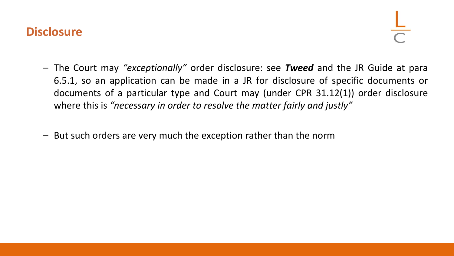#### **Disclosure**

- The Court may *"exceptionally"* order disclosure: see *Tweed* and the JR Guide at para 6.5.1, so an application can be made in a JR for disclosure of specific documents or documents of a particular type and Court may (under CPR 31.12(1)) order disclosure where this is *"necessary in order to resolve the matter fairly and justly"*
- But such orders are very much the exception rather than the norm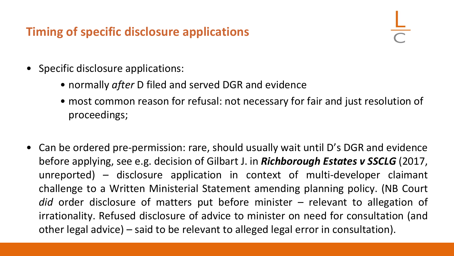## **Timing of specific disclosure applications**

- Specific disclosure applications:
	- normally *after* D filed and served DGR and evidence
	- most common reason for refusal: not necessary for fair and just resolution of proceedings;
- Can be ordered pre-permission: rare, should usually wait until D's DGR and evidence before applying, see e.g. decision of Gilbart J. in *Richborough Estates v SSCLG* (2017, unreported) – disclosure application in context of multi-developer claimant challenge to a Written Ministerial Statement amending planning policy. (NB Court *did* order disclosure of matters put before minister – relevant to allegation of irrationality. Refused disclosure of advice to minister on need for consultation (and other legal advice) – said to be relevant to alleged legal error in consultation).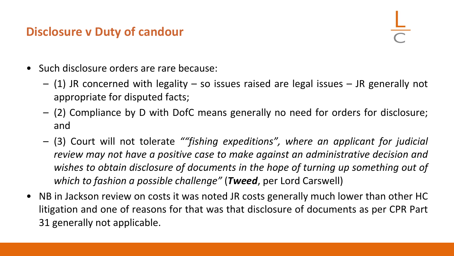#### **Disclosure v Duty of candour**



- Such disclosure orders are rare because:
	- $-$  (1) JR concerned with legality  $-$  so issues raised are legal issues  $-$  JR generally not appropriate for disputed facts;
	- (2) Compliance by D with DofC means generally no need for orders for disclosure; and
	- (3) Court will not tolerate *""fishing expeditions", where an applicant for judicial review may not have a positive case to make against an administrative decision and wishes to obtain disclosure of documents in the hope of turning up something out of which to fashion a possible challenge"* (*Tweed*, per Lord Carswell)
- NB in Jackson review on costs it was noted JR costs generally much lower than other HC litigation and one of reasons for that was that disclosure of documents as per CPR Part 31 generally not applicable.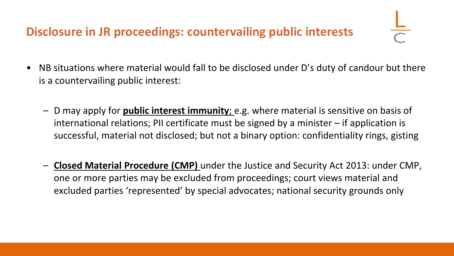## **Disclosure in JR proceedings: countervailing public interests**

- NB situations where material would fall to be disclosed under D's duty of candour but there is a countervailing public interest:
	- D may apply for **public interest immunity**; e.g. where material is sensitive on basis of international relations; PII certificate must be signed by a minister – if application is successful, material not disclosed; but not a binary option: confidentiality rings, gisting
	- **Closed Material Procedure (CMP)** under the Justice and Security Act 2013: under CMP, one or more parties may be excluded from proceedings; court views material and excluded parties 'represented' by special advocates; national security grounds only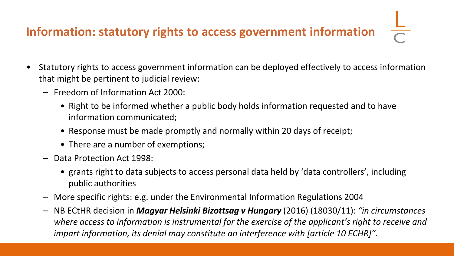# **Information: statutory rights to access government information**

- Statutory rights to access government information can be deployed effectively to access information that might be pertinent to judicial review:
	- Freedom of Information Act 2000:
		- Right to be informed whether a public body holds information requested and to have information communicated;
		- Response must be made promptly and normally within 20 days of receipt;
		- There are a number of exemptions;
	- Data Protection Act 1998:
		- grants right to data subjects to access personal data held by 'data controllers', including public authorities
	- More specific rights: e.g. under the Environmental Information Regulations 2004
	- NB ECtHR decision in *Magyar Helsinki Bizottsag v Hungary* (2016) (18030/11): *"in circumstances where access to information is instrumental for the exercise of the applicant's right to receive and impart information, its denial may constitute an interference with [article 10 ECHR]"*.